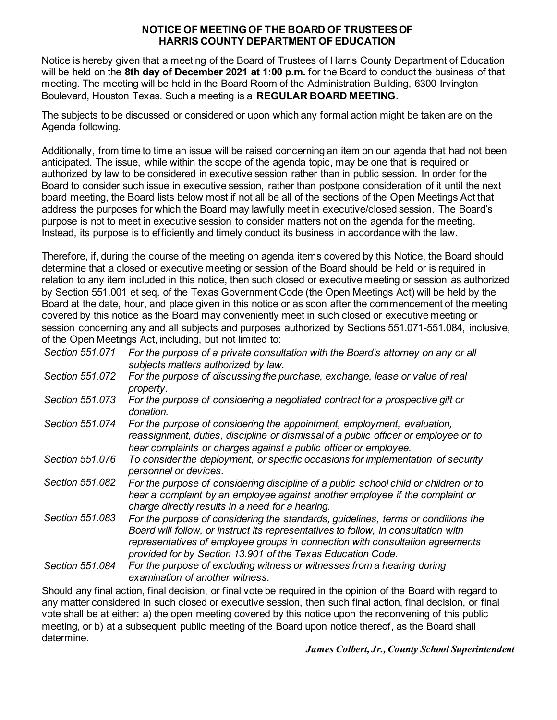#### **NOTICE OF MEETINGOF THE BOARD OF TRUSTEES OF HARRIS COUNTY DEPARTMENT OF EDUCATION**

Notice is hereby given that a meeting of the Board of Trustees of Harris County Department of Education will be held on the **8th day of December 2021 at 1:00 p.m.** for the Board to conduct the business of that meeting. The meeting will be held in the Board Room of the Administration Building, 6300 Irvington Boulevard, Houston Texas. Such a meeting is a **REGULAR BOARD MEETING**.

The subjects to be discussed or considered or upon which any formal action might be taken are on the Agenda following.

Additionally, from time to time an issue will be raised concerning an item on our agenda that had not been anticipated. The issue, while within the scope of the agenda topic, may be one that is required or authorized by law to be considered in executive session rather than in public session. In order for the Board to consider such issue in executive session, rather than postpone consideration of it until the next board meeting, the Board lists below most if not all be all of the sections of the Open Meetings Act that address the purposes for which the Board may lawfully meet in executive/closed session. The Board's purpose is not to meet in executive session to consider matters not on the agenda for the meeting. Instead, its purpose is to efficiently and timely conduct its business in accordance with the law.

Therefore, if, during the course of the meeting on agenda items covered by this Notice, the Board should determine that a closed or executive meeting or session of the Board should be held or is required in relation to any item included in this notice, then such closed or executive meeting or session as authorized by Section 551.001 et seq. of the Texas Government Code (the Open Meetings Act) will be held by the Board at the date, hour, and place given in this notice or as soon after the commencement of the meeting covered by this notice as the Board may conveniently meet in such closed or executive meeting or session concerning any and all subjects and purposes authorized by Sections 551.071-551.084, inclusive, of the Open Meetings Act, including, but not limited to:

| Section 551.071 | For the purpose of a private consultation with the Board's attorney on any or all<br>subjects matters authorized by law.                                                                                                                                                                                                |
|-----------------|-------------------------------------------------------------------------------------------------------------------------------------------------------------------------------------------------------------------------------------------------------------------------------------------------------------------------|
| Section 551.072 | For the purpose of discussing the purchase, exchange, lease or value of real<br>property.                                                                                                                                                                                                                               |
| Section 551,073 | For the purpose of considering a negotiated contract for a prospective gift or<br>donation.                                                                                                                                                                                                                             |
| Section 551.074 | For the purpose of considering the appointment, employment, evaluation,<br>reassignment, duties, discipline or dismissal of a public officer or employee or to<br>hear complaints or charges against a public officer or employee.                                                                                      |
| Section 551,076 | To consider the deployment, or specific occasions for implementation of security<br>personnel or devices.                                                                                                                                                                                                               |
| Section 551.082 | For the purpose of considering discipline of a public school child or children or to<br>hear a complaint by an employee against another employee if the complaint or<br>charge directly results in a need for a hearing.                                                                                                |
| Section 551.083 | For the purpose of considering the standards, guidelines, terms or conditions the<br>Board will follow, or instruct its representatives to follow, in consultation with<br>representatives of employee groups in connection with consultation agreements<br>provided for by Section 13.901 of the Texas Education Code. |
| Section 551.084 | For the purpose of excluding witness or witnesses from a hearing during<br>examination of another witness.                                                                                                                                                                                                              |

Should any final action, final decision, or final vote be required in the opinion of the Board with regard to any matter considered in such closed or executive session, then such final action, final decision, or final vote shall be at either: a) the open meeting covered by this notice upon the reconvening of this public meeting, or b) at a subsequent public meeting of the Board upon notice thereof, as the Board shall determine.

*James Colbert, Jr.,County School Superintendent*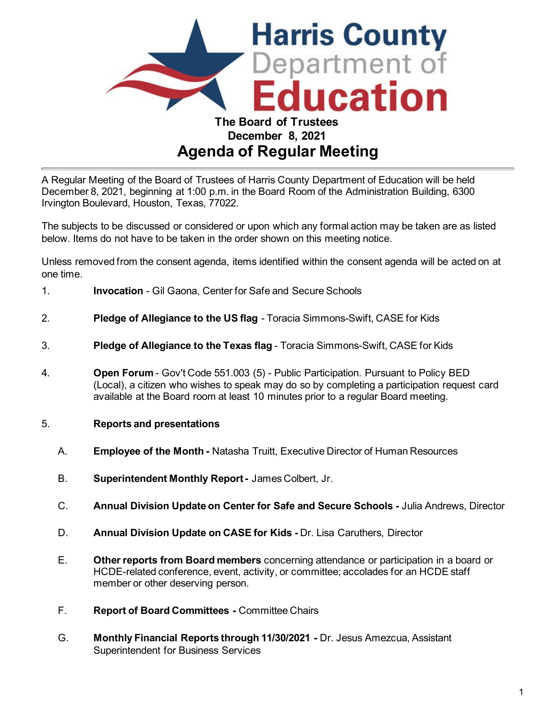

# **Agenda of Regular Meeting**

A Regular Meeting of the Board of Trustees of Harris County Department of Education will be held December 8, 2021, beginning at 1:00 p.m. in the Board Room of the Administration Building, 6300 Irvington Boulevard, Houston, Texas, 77022.

The subjects to be discussed or considered or upon which any formal action may be taken are as listed below. Items do not have to be taken in the order shown on this meeting notice.

Unless removed from the consent agenda, items identified within the consent agenda will be acted on at one time.

- 1. **Invocation** Gil Gaona, Center for Safe and Secure Schools
- 2. **Pledge of Allegiance to the US flag** Toracia Simmons-Swift, CASE for Kids
- 3. **Pledge of Allegiance to the Texas flag** Toracia Simmons-Swift, CASE for Kids
- 4. **Open Forum**  Gov't Code 551.003 (5) Public Participation. Pursuant to Policy BED (Local), a citizen who wishes to speak may do so by completing a participation request card available at the Board room at least 10 minutes prior to a regular Board meeting.
- 5. **Reports and presentations**
	- A. **Employee of the Month** Natasha Truitt, Executive Director of Human Resources
	- B. **Superintendent Monthly Report** James Colbert, Jr.
	- C. **Annual Division Update on Center for Safe and Secure Schools** Julia Andrews, Director
	- D. **Annual Division Update on CASE for Kids** Dr. Lisa Caruthers, Director
	- E. **Other reports from Board members** concerning attendance or participation in a board or HCDE-related conference, event, activity, or committee; accolades for an HCDE staff member or other deserving person.
	- F. **Report of Board Committees** Committee Chairs
	- G. **Monthly Financial Reports through 11/30/2021** Dr. Jesus Amezcua, Assistant Superintendent for Business Services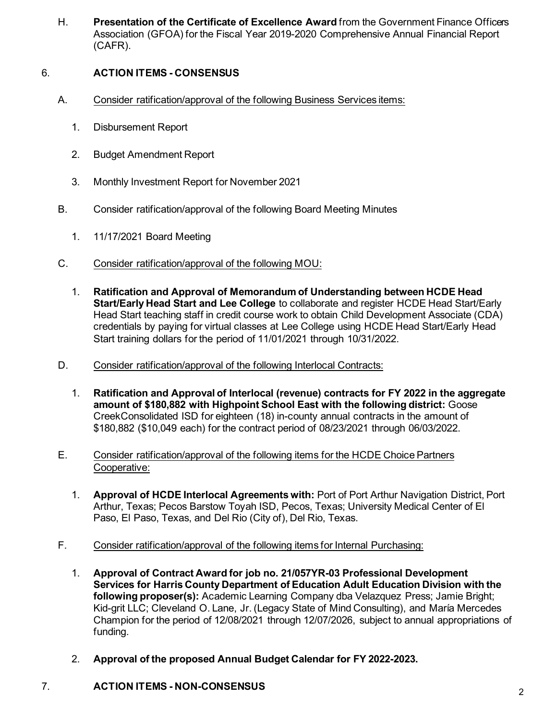H. **Presentation of the Certificate of Excellence Award** from the Government Finance Officers Association (GFOA) for the Fiscal Year 2019-2020 Comprehensive Annual Financial Report (CAFR).

## 6. **ACTION ITEMS - CONSENSUS**

- A. Consider ratification/approval of the following Business Services items:
	- 1. Disbursement Report
	- 2. Budget Amendment Report
	- 3. Monthly Investment Report for November 2021
- B. Consider ratification/approval of the following Board Meeting Minutes
	- 1. 11/17/2021 Board Meeting
- C. Consider ratification/approval of the following MOU:
	- 1. **Ratification and Approval of Memorandum of Understanding between HCDE Head Start/Early Head Start and Lee College** to collaborate and register HCDE Head Start/Early Head Start teaching staff in credit course work to obtain Child Development Associate (CDA) credentials by paying for virtual classes at Lee College using HCDE Head Start/Early Head Start training dollars for the period of 11/01/2021 through 10/31/2022.
- D. Consider ratification/approval of the following Interlocal Contracts:
	- 1. **Ratification and Approval of Interlocal (revenue) contracts for FY 2022 in the aggregate amount of \$180,882 with Highpoint School East with the following district:** Goose CreekConsolidated ISD for eighteen (18) in-county annual contracts in the amount of \$180,882 (\$10,049 each) for the contract period of 08/23/2021 through 06/03/2022.
- E. Consider ratification/approval of the following items for the HCDE Choice Partners Cooperative:
	- 1. **Approval of HCDE Interlocal Agreements with:** Port of Port Arthur Navigation District, Port Arthur, Texas; Pecos Barstow Toyah ISD, Pecos, Texas; University Medical Center of El Paso, El Paso, Texas, and Del Rio (City of), Del Rio, Texas.
- F. Consider ratification/approval of the following items for Internal Purchasing:
	- 1. **Approval of Contract Award for job no. 21/057YR-03 Professional Development Services for Harris County Department of Education Adult Education Division with the following proposer(s):** Academic Learning Company dba Velazquez Press; Jamie Bright; Kid-grit LLC; Cleveland O. Lane, Jr. (Legacy State of Mind Consulting), and María Mercedes Champion for the period of 12/08/2021 through 12/07/2026, subject to annual appropriations of funding.
	- 2. **Approval of the proposed Annual Budget Calendar for FY 2022-2023.**

## 7. **ACTION ITEMS - NON-CONSENSUS**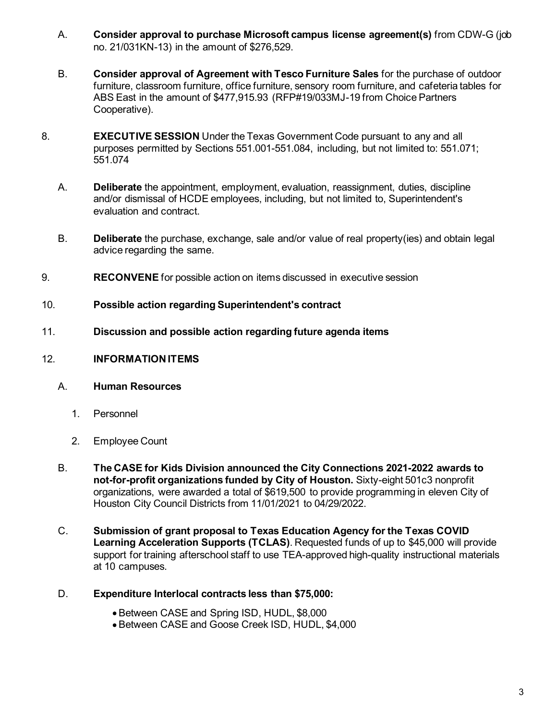- A. **Consider approval to purchase Microsoft campus license agreement(s)** from CDW-G (job no. 21/031KN-13) in the amount of \$276,529.
- B. **Consider approval of Agreement with Tesco Furniture Sales** for the purchase of outdoor furniture, classroom furniture, office furniture, sensory room furniture, and cafeteria tables for ABS East in the amount of \$477,915.93 (RFP#19/033MJ-19 from Choice Partners Cooperative).
- 8. **EXECUTIVE SESSION** Under the Texas Government Code pursuant to any and all purposes permitted by Sections 551.001-551.084, including, but not limited to: 551.071; 551.074
	- A. **Deliberate** the appointment, employment, evaluation, reassignment, duties, discipline and/or dismissal of HCDE employees, including, but not limited to, Superintendent's evaluation and contract.
	- B. **Deliberate** the purchase, exchange, sale and/or value of real property(ies) and obtain legal advice regarding the same.
- 9. **RECONVENE** for possible action on items discussed in executive session
- 10. **Possible action regarding Superintendent's contract**
- 11. **Discussion and possible action regarding future agenda items**

#### 12. **INFORMATIONITEMS**

#### A. **Human Resources**

- 1. Personnel
- 2. Employee Count
- B. **The CASE for Kids Division announced the City Connections 2021-2022 awards to not-for-profit organizations funded by City of Houston.** Sixty-eight 501c3 nonprofit organizations, were awarded a total of \$619,500 to provide programming in eleven City of Houston City Council Districts from 11/01/2021 to 04/29/2022.
- C. **Submission of grant proposal to Texas Education Agency for the Texas COVID Learning Acceleration Supports (TCLAS)**. Requested funds of up to \$45,000 will provide support for training afterschool staff to use TEA-approved high-quality instructional materials at 10 campuses.
- D. **Expenditure Interlocal contracts less than \$75,000:**
	- Between CASE and Spring ISD, HUDL, \$8,000
	- Between CASE and Goose Creek ISD, HUDL, \$4,000